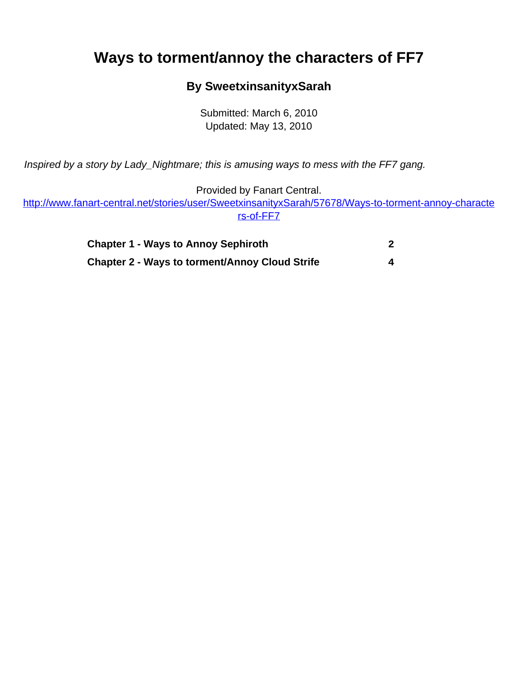## <span id="page-0-0"></span>**Ways to torment/annoy the characters of FF7**

## **By SweetxinsanityxSarah**

Submitted: March 6, 2010 Updated: May 13, 2010

Inspired by a story by Lady\_Nightmare; this is amusing ways to mess with the FF7 gang.

Provided by Fanart Central.

[http://www.fanart-central.net/stories/user/SweetxinsanityxSarah/57678/Ways-to-torment-annoy-characte](#page-0-0) [rs-of-FF7](#page-0-0)

| <b>Chapter 1 - Ways to Annoy Sephiroth</b>            |  |
|-------------------------------------------------------|--|
| <b>Chapter 2 - Ways to torment/Annoy Cloud Strife</b> |  |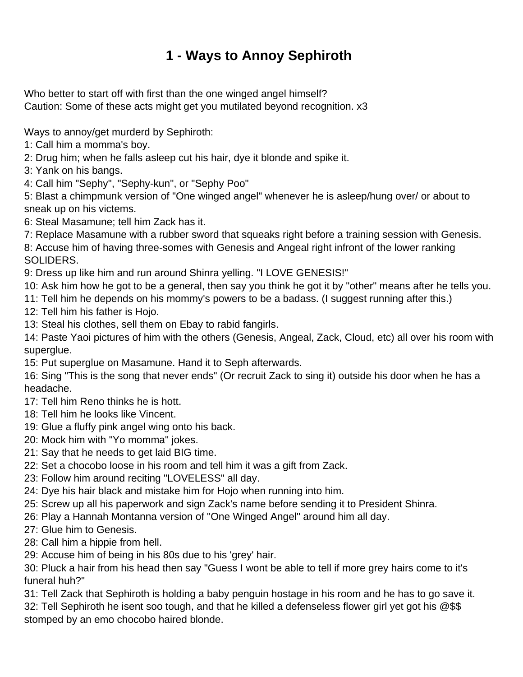## **1 - Ways to Annoy Sephiroth**

<span id="page-1-0"></span>Who better to start off with first than the one winged angel himself? Caution: Some of these acts might get you mutilated beyond recognition. x3

Ways to annoy/get murderd by Sephiroth:

- 1: Call him a momma's boy.
- 2: Drug him; when he falls asleep cut his hair, dye it blonde and spike it.
- 3: Yank on his bangs.
- 4: Call him "Sephy", "Sephy-kun", or "Sephy Poo"

5: Blast a chimpmunk version of "One winged angel" whenever he is asleep/hung over/ or about to sneak up on his victems.

- 6: Steal Masamune; tell him Zack has it.
- 7: Replace Masamune with a rubber sword that squeaks right before a training session with Genesis.

8: Accuse him of having three-somes with Genesis and Angeal right infront of the lower ranking SOLIDERS.

9: Dress up like him and run around Shinra yelling. "I LOVE GENESIS!"

- 10: Ask him how he got to be a general, then say you think he got it by "other" means after he tells you.
- 11: Tell him he depends on his mommy's powers to be a badass. (I suggest running after this.)
- 12: Tell him his father is Hojo.
- 13: Steal his clothes, sell them on Ebay to rabid fangirls.

14: Paste Yaoi pictures of him with the others (Genesis, Angeal, Zack, Cloud, etc) all over his room with superglue.

15: Put superglue on Masamune. Hand it to Seph afterwards.

16: Sing "This is the song that never ends" (Or recruit Zack to sing it) outside his door when he has a headache.

- 17: Tell him Reno thinks he is hott.
- 18: Tell him he looks like Vincent.
- 19: Glue a fluffy pink angel wing onto his back.
- 20: Mock him with "Yo momma" jokes.
- 21: Say that he needs to get laid BIG time.
- 22: Set a chocobo loose in his room and tell him it was a gift from Zack.
- 23: Follow him around reciting "LOVELESS" all day.
- 24: Dye his hair black and mistake him for Hojo when running into him.
- 25: Screw up all his paperwork and sign Zack's name before sending it to President Shinra.
- 26: Play a Hannah Montanna version of "One Winged Angel" around him all day.
- 27: Glue him to Genesis.
- 28: Call him a hippie from hell.
- 29: Accuse him of being in his 80s due to his 'grey' hair.

30: Pluck a hair from his head then say "Guess I wont be able to tell if more grey hairs come to it's funeral huh?"

31: Tell Zack that Sephiroth is holding a baby penguin hostage in his room and he has to go save it. 32: Tell Sephiroth he isent soo tough, and that he killed a defenseless flower girl yet got his @\$\$ stomped by an emo chocobo haired blonde.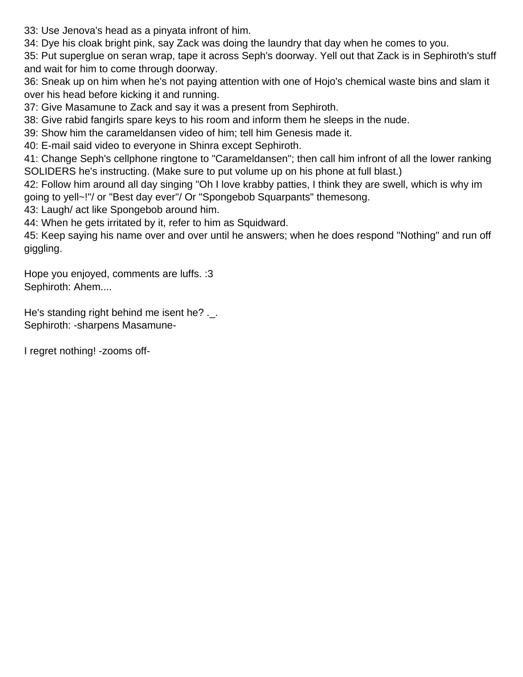33: Use Jenova's head as a pinyata infront of him.

34: Dye his cloak bright pink, say Zack was doing the laundry that day when he comes to you.

35: Put superglue on seran wrap, tape it across Seph's doorway. Yell out that Zack is in Sephiroth's stuff and wait for him to come through doorway.

36: Sneak up on him when he's not paying attention with one of Hojo's chemical waste bins and slam it over his head before kicking it and running.

37: Give Masamune to Zack and say it was a present from Sephiroth.

38: Give rabid fangirls spare keys to his room and inform them he sleeps in the nude.

39: Show him the carameldansen video of him; tell him Genesis made it.

40: E-mail said video to everyone in Shinra except Sephiroth.

41: Change Seph's cellphone ringtone to "Carameldansen"; then call him infront of all the lower ranking SOLIDERS he's instructing. (Make sure to put volume up on his phone at full blast.)

42: Follow him around all day singing "Oh I love krabby patties, I think they are swell, which is why im going to yell~!"/ or "Best day ever"/ Or "Spongebob Squarpants" themesong.

43: Laugh/ act like Spongebob around him.

44: When he gets irritated by it, refer to him as Squidward.

45: Keep saying his name over and over until he answers; when he does respond "Nothing" and run off giggling.

Hope you enjoyed, comments are luffs. :3 Sephiroth: Ahem....

He's standing right behind me isent he? .\_. Sephiroth: -sharpens Masamune-

I regret nothing! -zooms off-